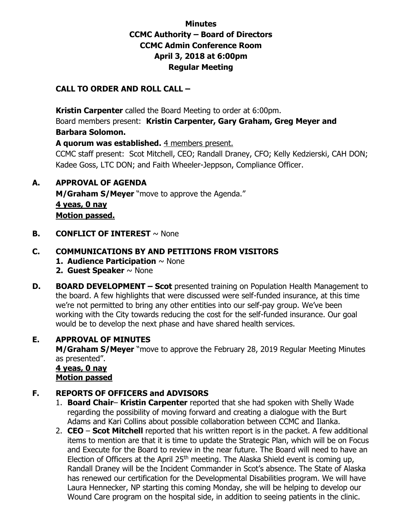## **Minutes CCMC Authority – Board of Directors CCMC Admin Conference Room April 3, 2018 at 6:00pm Regular Meeting**

### **CALL TO ORDER AND ROLL CALL –**

 **Kristin Carpenter** called the Board Meeting to order at 6:00pm.

Board members present: **Kristin Carpenter, Gary Graham, Greg Meyer and Barbara Solomon.** 

**A quorum was established.** 4 members present.

CCMC staff present: Scot Mitchell, CEO; Randall Draney, CFO; Kelly Kedzierski, CAH DON; Kadee Goss, LTC DON; and Faith Wheeler-Jeppson, Compliance Officer.

#### **A. APPROVAL OF AGENDA**

**M/Graham S/Meyer** "move to approve the Agenda." **4 yeas, 0 nay Motion passed.** 

**B. CONFLICT OF INTEREST**  $\sim$  None

### **C. COMMUNICATIONS BY AND PETITIONS FROM VISITORS**

- **1. Audience Participation** ~ None
- **2. Guest Speaker** ~ None
- **D. BOARD DEVELOPMENT Scot** presented training on Population Health Management to the board. A few highlights that were discussed were self-funded insurance, at this time we're not permitted to bring any other entities into our self-pay group. We've been working with the City towards reducing the cost for the self-funded insurance. Our goal would be to develop the next phase and have shared health services.

### **E. APPROVAL OF MINUTES**

**M/Graham S/Meyer** "move to approve the February 28, 2019 Regular Meeting Minutes as presented".

 **4 yeas, 0 nay Motion passed**

### **F. REPORTS OF OFFICERS and ADVISORS**

- 1. **Board Chair Kristin Carpenter** reported that she had spoken with Shelly Wade regarding the possibility of moving forward and creating a dialogue with the Burt Adams and Kari Collins about possible collaboration between CCMC and Ilanka.
- 2. **CEO Scot Mitchell** reported that his written report is in the packet. A few additional items to mention are that it is time to update the Strategic Plan, which will be on Focus and Execute for the Board to review in the near future. The Board will need to have an Election of Officers at the April 25th meeting. The Alaska Shield event is coming up, Randall Draney will be the Incident Commander in Scot's absence. The State of Alaska has renewed our certification for the Developmental Disabilities program. We will have Laura Hennecker, NP starting this coming Monday, she will be helping to develop our Wound Care program on the hospital side, in addition to seeing patients in the clinic.